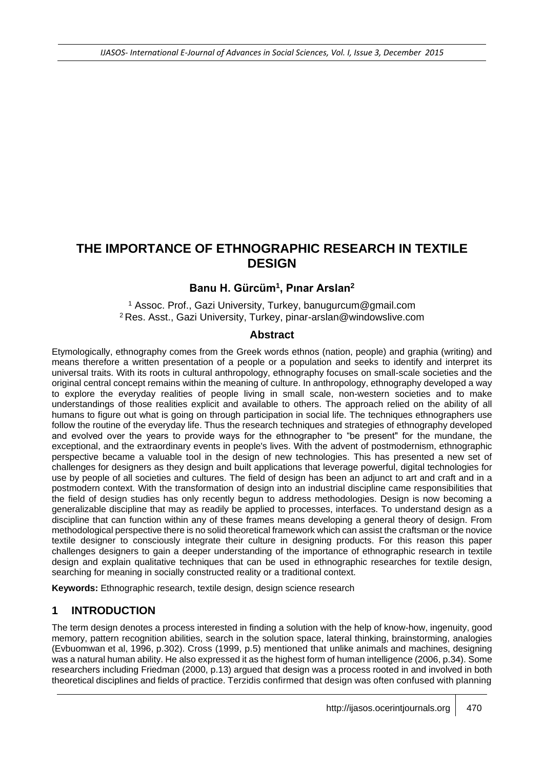# **THE IMPORTANCE OF ETHNOGRAPHIC RESEARCH IN TEXTILE DESIGN**

#### **Banu H. Gürcüm<sup>1</sup> , Pınar Arslan<sup>2</sup>**

<sup>1</sup> Assoc. Prof., Gazi University, Turkey, banugurcum@gmail.com <sup>2</sup>Res. Asst., Gazi University, Turkey, pinar-arslan@windowslive.com

#### **Abstract**

Etymologically, ethnography comes from the Greek words ethnos (nation, people) and graphia (writing) and means therefore a written presentation of a people or a population and seeks to identify and interpret its universal traits. With its roots in cultural anthropology, ethnography focuses on small-scale societies and the original central concept remains within the meaning of culture. In anthropology, ethnography developed a way to explore the everyday realities of people living in small scale, non-western societies and to make understandings of those realities explicit and available to others. The approach relied on the ability of all humans to figure out what is going on through participation in social life. The techniques ethnographers use follow the routine of the everyday life. Thus the research techniques and strategies of ethnography developed and evolved over the years to provide ways for the ethnographer to "be present" for the mundane, the exceptional, and the extraordinary events in people's lives. With the advent of postmodernism, ethnographic perspective became a valuable tool in the design of new technologies. This has presented a new set of challenges for designers as they design and built applications that leverage powerful, digital technologies for use by people of all societies and cultures. The field of design has been an adjunct to art and craft and in a postmodern context. With the transformation of design into an industrial discipline came responsibilities that the field of design studies has only recently begun to address methodologies. Design is now becoming a generalizable discipline that may as readily be applied to processes, interfaces. To understand design as a discipline that can function within any of these frames means developing a general theory of design. From methodological perspective there is no solid theoretical framework which can assist the craftsman or the novice textile designer to consciously integrate their culture in designing products. For this reason this paper challenges designers to gain a deeper understanding of the importance of ethnographic research in textile design and explain qualitative techniques that can be used in ethnographic researches for textile design, searching for meaning in socially constructed reality or a traditional context.

**Keywords:** Ethnographic research, textile design, design science research

### **1 INTRODUCTION**

The term design denotes a process interested in finding a solution with the help of know-how, ingenuity, good memory, pattern recognition abilities, search in the solution space, lateral thinking, brainstorming, analogies (Evbuomwan et al, 1996, p.302). Cross (1999, p.5) mentioned that unlike animals and machines, designing was a natural human ability. He also expressed it as the highest form of human intelligence (2006, p.34). Some researchers including Friedman (2000, p.13) argued that design was a process rooted in and involved in both theoretical disciplines and fields of practice. Terzidis confirmed that design was often confused with planning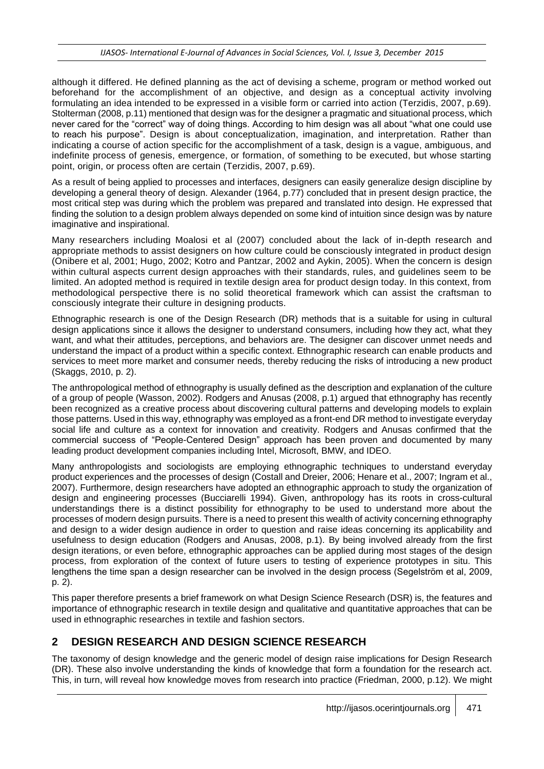although it differed. He defined planning as the act of devising a scheme, program or method worked out beforehand for the accomplishment of an objective, and design as a conceptual activity involving formulating an idea intended to be expressed in a visible form or carried into action (Terzidis, 2007, p.69). Stolterman (2008, p.11) mentioned that design was for the designer a pragmatic and situational process, which never cared for the "correct" way of doing things. According to him design was all about "what one could use to reach his purpose". Design is about conceptualization, imagination, and interpretation. Rather than indicating a course of action specific for the accomplishment of a task, design is a vague, ambiguous, and indefinite process of genesis, emergence, or formation, of something to be executed, but whose starting point, origin, or process often are certain (Terzidis, 2007, p.69).

As a result of being applied to processes and interfaces, designers can easily generalize design discipline by developing a general theory of design. Alexander (1964, p.77) concluded that in present design practice, the most critical step was during which the problem was prepared and translated into design. He expressed that finding the solution to a design problem always depended on some kind of intuition since design was by nature imaginative and inspirational.

Many researchers including Moalosi et al (2007) concluded about the lack of in-depth research and appropriate methods to assist designers on how culture could be consciously integrated in product design (Onibere et al, 2001; Hugo, 2002; Kotro and Pantzar, 2002 and Aykin, 2005). When the concern is design within cultural aspects current design approaches with their standards, rules, and guidelines seem to be limited. An adopted method is required in textile design area for product design today. In this context, from methodological perspective there is no solid theoretical framework which can assist the craftsman to consciously integrate their culture in designing products.

Ethnographic research is one of the Design Research (DR) methods that is a suitable for using in cultural design applications since it allows the designer to understand consumers, including how they act, what they want, and what their attitudes, perceptions, and behaviors are. The designer can discover unmet needs and understand the impact of a product within a specific context. Ethnographic research can enable products and services to meet more market and consumer needs, thereby reducing the risks of introducing a new product (Skaggs, 2010, p. 2).

The anthropological method of ethnography is usually defined as the description and explanation of the culture of a group of people (Wasson, 2002). Rodgers and Anusas (2008, p.1) argued that ethnography has recently been recognized as a creative process about discovering cultural patterns and developing models to explain those patterns. Used in this way, ethnography was employed as a front-end DR method to investigate everyday social life and culture as a context for innovation and creativity. Rodgers and Anusas confirmed that the commercial success of "People-Centered Design" approach has been proven and documented by many leading product development companies including Intel, Microsoft, BMW, and IDEO.

Many anthropologists and sociologists are employing ethnographic techniques to understand everyday product experiences and the processes of design (Costall and Dreier, 2006; Henare et al., 2007; Ingram et al., 2007). Furthermore, design researchers have adopted an ethnographic approach to study the organization of design and engineering processes (Bucciarelli 1994). Given, anthropology has its roots in cross-cultural understandings there is a distinct possibility for ethnography to be used to understand more about the processes of modern design pursuits. There is a need to present this wealth of activity concerning ethnography and design to a wider design audience in order to question and raise ideas concerning its applicability and usefulness to design education (Rodgers and Anusas, 2008, p.1). By being involved already from the first design iterations, or even before, ethnographic approaches can be applied during most stages of the design process, from exploration of the context of future users to testing of experience prototypes in situ. This lengthens the time span a design researcher can be involved in the design process (Segelström et al, 2009, p. 2).

This paper therefore presents a brief framework on what Design Science Research (DSR) is, the features and importance of ethnographic research in textile design and qualitative and quantitative approaches that can be used in ethnographic researches in textile and fashion sectors.

## **2 DESIGN RESEARCH AND DESIGN SCIENCE RESEARCH**

The taxonomy of design knowledge and the generic model of design raise implications for Design Research (DR). These also involve understanding the kinds of knowledge that form a foundation for the research act. This, in turn, will reveal how knowledge moves from research into practice (Friedman, 2000, p.12). We might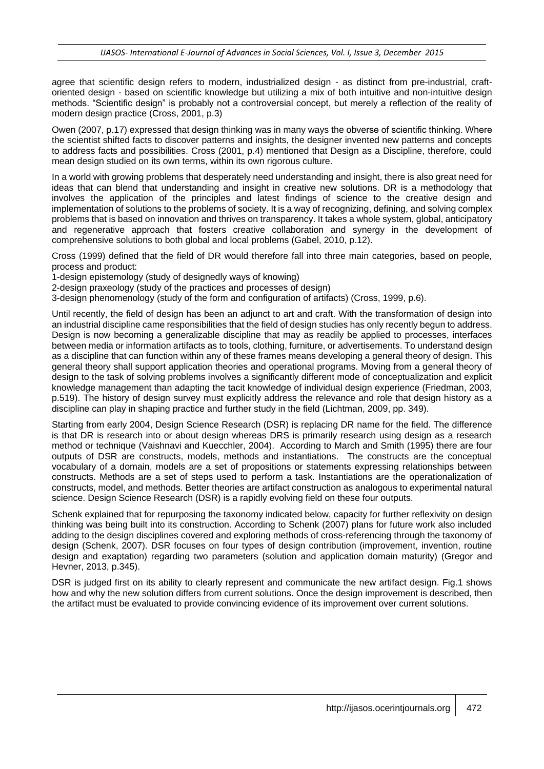agree that scientific design refers to modern, industrialized design - as distinct from pre-industrial, craftoriented design - based on scientific knowledge but utilizing a mix of both intuitive and non-intuitive design methods. "Scientific design" is probably not a controversial concept, but merely a reflection of the reality of modern design practice (Cross, 2001, p.3)

Owen (2007, p.17) expressed that design thinking was in many ways the obverse of scientific thinking. Where the scientist shifted facts to discover patterns and insights, the designer invented new patterns and concepts to address facts and possibilities. Cross (2001, p.4) mentioned that Design as a Discipline, therefore, could mean design studied on its own terms, within its own rigorous culture.

In a world with growing problems that desperately need understanding and insight, there is also great need for ideas that can blend that understanding and insight in creative new solutions. DR is a methodology that involves the application of the principles and latest findings of science to the creative design and implementation of solutions to the problems of society. It is a way of recognizing, defining, and solving complex problems that is based on innovation and thrives on transparency. It takes a whole system, global, anticipatory and regenerative approach that fosters creative collaboration and synergy in the development of comprehensive solutions to both global and local problems (Gabel, 2010, p.12).

Cross (1999) defined that the field of DR would therefore fall into three main categories, based on people, process and product:

1-design epistemology (study of designedly ways of knowing)

2-design praxeology (study of the practices and processes of design)

3-design phenomenology (study of the form and configuration of artifacts) (Cross, 1999, p.6).

Until recently, the field of design has been an adjunct to art and craft. With the transformation of design into an industrial discipline came responsibilities that the field of design studies has only recently begun to address. Design is now becoming a generalizable discipline that may as readily be applied to processes, interfaces between media or information artifacts as to tools, clothing, furniture, or advertisements. To understand design as a discipline that can function within any of these frames means developing a general theory of design. This general theory shall support application theories and operational programs. Moving from a general theory of design to the task of solving problems involves a significantly different mode of conceptualization and explicit knowledge management than adapting the tacit knowledge of individual design experience (Friedman, 2003, p.519). The history of design survey must explicitly address the relevance and role that design history as a discipline can play in shaping practice and further study in the field (Lichtman, 2009, pp. 349).

Starting from early 2004, Design Science Research (DSR) is replacing DR name for the field. The difference is that DR is research into or about design whereas DRS is primarily research using design as a research method or technique (Vaishnavi and Kuecchler, 2004). According to March and Smith (1995) there are four outputs of DSR are constructs, models, methods and instantiations. The constructs are the conceptual vocabulary of a domain, models are a set of propositions or statements expressing relationships between constructs. Methods are a set of steps used to perform a task. Instantiations are the operationalization of constructs, model, and methods. Better theories are artifact construction as analogous to experimental natural science. Design Science Research (DSR) is a rapidly evolving field on these four outputs.

Schenk explained that for repurposing the taxonomy indicated below, capacity for further reflexivity on design thinking was being built into its construction. According to Schenk (2007) plans for future work also included adding to the design disciplines covered and exploring methods of cross-referencing through the taxonomy of design (Schenk, 2007). DSR focuses on four types of design contribution (improvement, invention, routine design and exaptation) regarding two parameters (solution and application domain maturity) (Gregor and Hevner, 2013, p.345).

DSR is judged first on its ability to clearly represent and communicate the new artifact design. Fig.1 shows how and why the new solution differs from current solutions. Once the design improvement is described, then the artifact must be evaluated to provide convincing evidence of its improvement over current solutions.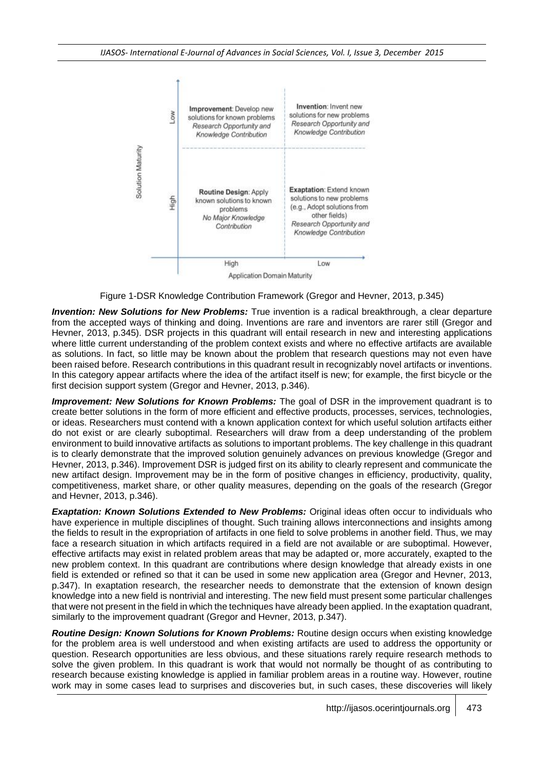

Figure 1-DSR Knowledge Contribution Framework (Gregor and Hevner, 2013, p.345)

*Invention: New Solutions for New Problems:* True invention is a radical breakthrough, a clear departure from the accepted ways of thinking and doing. Inventions are rare and inventors are rarer still (Gregor and Hevner, 2013, p.345). DSR projects in this quadrant will entail research in new and interesting applications where little current understanding of the problem context exists and where no effective artifacts are available as solutions. In fact, so little may be known about the problem that research questions may not even have been raised before. Research contributions in this quadrant result in recognizably novel artifacts or inventions. In this category appear artifacts where the idea of the artifact itself is new; for example, the first bicycle or the first decision support system (Gregor and Hevner, 2013, p.346).

*Improvement: New Solutions for Known Problems:* The goal of DSR in the improvement quadrant is to create better solutions in the form of more efficient and effective products, processes, services, technologies, or ideas. Researchers must contend with a known application context for which useful solution artifacts either do not exist or are clearly suboptimal. Researchers will draw from a deep understanding of the problem environment to build innovative artifacts as solutions to important problems. The key challenge in this quadrant is to clearly demonstrate that the improved solution genuinely advances on previous knowledge (Gregor and Hevner, 2013, p.346). Improvement DSR is judged first on its ability to clearly represent and communicate the new artifact design. Improvement may be in the form of positive changes in efficiency, productivity, quality, competitiveness, market share, or other quality measures, depending on the goals of the research (Gregor and Hevner, 2013, p.346).

*Exaptation: Known Solutions Extended to New Problems:* Original ideas often occur to individuals who have experience in multiple disciplines of thought. Such training allows interconnections and insights among the fields to result in the expropriation of artifacts in one field to solve problems in another field. Thus, we may face a research situation in which artifacts required in a field are not available or are suboptimal. However, effective artifacts may exist in related problem areas that may be adapted or, more accurately, exapted to the new problem context. In this quadrant are contributions where design knowledge that already exists in one field is extended or refined so that it can be used in some new application area (Gregor and Hevner, 2013, p.347). In exaptation research, the researcher needs to demonstrate that the extension of known design knowledge into a new field is nontrivial and interesting. The new field must present some particular challenges that were not present in the field in which the techniques have already been applied. In the exaptation quadrant, similarly to the improvement quadrant (Gregor and Hevner, 2013, p.347).

*Routine Design: Known Solutions for Known Problems:* Routine design occurs when existing knowledge for the problem area is well understood and when existing artifacts are used to address the opportunity or question. Research opportunities are less obvious, and these situations rarely require research methods to solve the given problem. In this quadrant is work that would not normally be thought of as contributing to research because existing knowledge is applied in familiar problem areas in a routine way. However, routine work may in some cases lead to surprises and discoveries but, in such cases, these discoveries will likely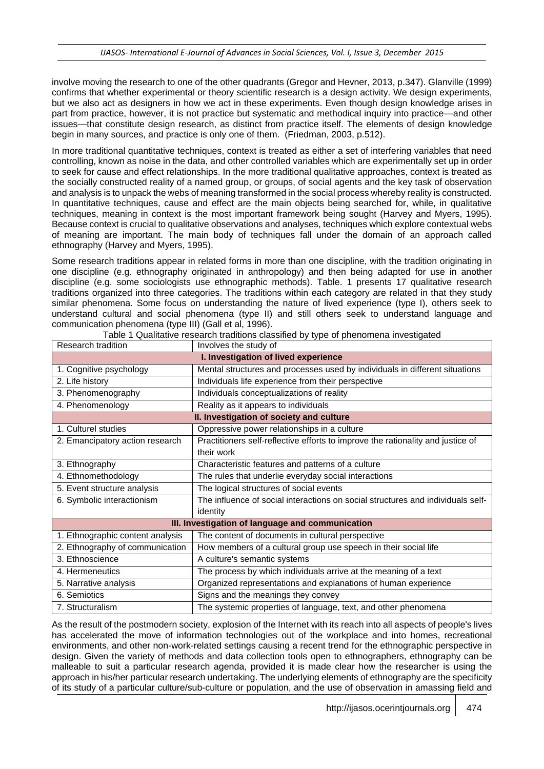involve moving the research to one of the other quadrants (Gregor and Hevner, 2013, p.347). Glanville (1999) confirms that whether experimental or theory scientific research is a design activity. We design experiments, but we also act as designers in how we act in these experiments. Even though design knowledge arises in part from practice, however, it is not practice but systematic and methodical inquiry into practice—and other issues—that constitute design research, as distinct from practice itself. The elements of design knowledge begin in many sources, and practice is only one of them. (Friedman, 2003, p.512).

In more traditional quantitative techniques, context is treated as either a set of interfering variables that need controlling, known as noise in the data, and other controlled variables which are experimentally set up in order to seek for cause and effect relationships. In the more traditional qualitative approaches, context is treated as the socially constructed reality of a named group, or groups, of social agents and the key task of observation and analysis is to unpack the webs of meaning transformed in the social process whereby reality is constructed. In quantitative techniques, cause and effect are the main objects being searched for, while, in qualitative techniques, meaning in context is the most important framework being sought (Harvey and Myers, 1995). Because context is crucial to qualitative observations and analyses, techniques which explore contextual webs of meaning are important. The main body of techniques fall under the domain of an approach called ethnography (Harvey and Myers, 1995).

Some research traditions appear in related forms in more than one discipline, with the tradition originating in one discipline (e.g. ethnography originated in anthropology) and then being adapted for use in another discipline (e.g. some sociologists use ethnographic methods). Table. 1 presents 17 qualitative research traditions organized into three categories. The traditions within each category are related in that they study similar phenomena. Some focus on understanding the nature of lived experience (type I), others seek to understand cultural and social phenomena (type II) and still others seek to understand language and communication phenomena (type III) (Gall et al, 1996).

| Research tradition                               | Involves the study of                                                           |
|--------------------------------------------------|---------------------------------------------------------------------------------|
| I. Investigation of lived experience             |                                                                                 |
| 1. Cognitive psychology                          | Mental structures and processes used by individuals in different situations     |
| 2. Life history                                  | Individuals life experience from their perspective                              |
| 3. Phenomenography                               | Individuals conceptualizations of reality                                       |
| 4. Phenomenology                                 | Reality as it appears to individuals                                            |
| II. Investigation of society and culture         |                                                                                 |
| 1. Culturel studies                              | Oppressive power relationships in a culture                                     |
| 2. Emancipatory action research                  | Practitioners self-reflective efforts to improve the rationality and justice of |
|                                                  | their work                                                                      |
| 3. Ethnography                                   | Characteristic features and patterns of a culture                               |
| 4. Ethnomethodology                              | The rules that underlie everyday social interactions                            |
| 5. Event structure analysis                      | The logical structures of social events                                         |
| 6. Symbolic interactionism                       | The influence of social interactions on social structures and individuals self- |
|                                                  | identity                                                                        |
| III. Investigation of language and communication |                                                                                 |
| 1. Ethnographic content analysis                 | The content of documents in cultural perspective                                |
| 2. Ethnography of communication                  | How members of a cultural group use speech in their social life                 |
| 3. Ethnoscience                                  | A culture's semantic systems                                                    |
| 4. Hermeneutics                                  | The process by which individuals arrive at the meaning of a text                |
| 5. Narrative analysis                            | Organized representations and explanations of human experience                  |
| 6. Semiotics                                     | Signs and the meanings they convey                                              |
| 7. Structuralism                                 | The systemic properties of language, text, and other phenomena                  |

Table 1 Qualitative research traditions classified by type of phenomena investigated

As the result of the postmodern society, explosion of the Internet with its reach into all aspects of people's lives has accelerated the move of information technologies out of the workplace and into homes, recreational environments, and other non-work-related settings causing a recent trend for the ethnographic perspective in design. Given the variety of methods and data collection tools open to ethnographers, ethnography can be malleable to suit a particular research agenda, provided it is made clear how the researcher is using the approach in his/her particular research undertaking. The underlying elements of ethnography are the specificity of its study of a particular culture/sub-culture or population, and the use of observation in amassing field and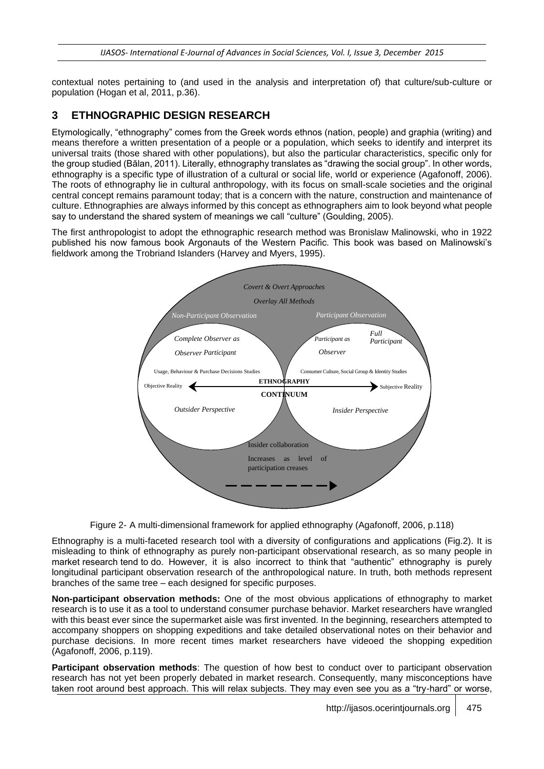contextual notes pertaining to (and used in the analysis and interpretation of) that culture/sub-culture or population (Hogan et al, 2011, p.36).

### **3 ETHNOGRAPHIC DESIGN RESEARCH**

Etymologically, "ethnography" comes from the Greek words ethnos (nation, people) and graphia (writing) and means therefore a written presentation of a people or a population, which seeks to identify and interpret its universal traits (those shared with other populations), but also the particular characteristics, specific only for the group studied (Bălan, 2011). Literally, ethnography translates as "drawing the social group". In other words, ethnography is a specific type of illustration of a cultural or social life, world or experience (Agafonoff, 2006). The roots of ethnography lie in cultural anthropology, with its focus on small-scale societies and the original central concept remains paramount today; that is a concern with the nature, construction and maintenance of culture. Ethnographies are always informed by this concept as ethnographers aim to look beyond what people say to understand the shared system of meanings we call "culture" (Goulding, 2005).

The first anthropologist to adopt the ethnographic research method was Bronislaw Malinowski, who in 1922 published his now famous book Argonauts of the Western Pacific. This book was based on Malinowski's fieldwork among the Trobriand Islanders (Harvey and Myers, 1995).



Figure 2- A multi-dimensional framework for applied ethnography (Agafonoff, 2006, p.118)

Ethnography is a multi-faceted research tool with a diversity of configurations and applications (Fig.2). It is misleading to think of ethnography as purely non-participant observational research, as so many people in market research tend to do. However, it is also incorrect to think that "authentic" ethnography is purely longitudinal participant observation research of the anthropological nature. In truth, both methods represent branches of the same tree – each designed for specific purposes.

**Non-participant observation methods:** One of the most obvious applications of ethnography to market research is to use it as a tool to understand consumer purchase behavior. Market researchers have wrangled with this beast ever since the supermarket aisle was first invented. In the beginning, researchers attempted to accompany shoppers on shopping expeditions and take detailed observational notes on their behavior and purchase decisions. In more recent times market researchers have videoed the shopping expedition (Agafonoff, 2006, p.119).

**Participant observation methods**: The question of how best to conduct over to participant observation research has not yet been properly debated in market research. Consequently, many misconceptions have taken root around best approach. This will relax subjects. They may even see you as a "try-hard" or worse,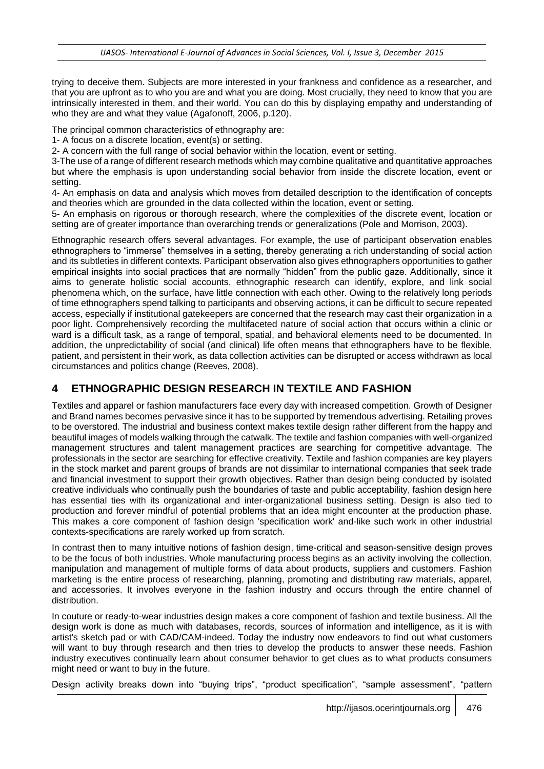trying to deceive them. Subjects are more interested in your frankness and confidence as a researcher, and that you are upfront as to who you are and what you are doing. Most crucially, they need to know that you are intrinsically interested in them, and their world. You can do this by displaying empathy and understanding of who they are and what they value (Agafonoff, 2006, p.120).

The principal common characteristics of ethnography are:

1- A focus on a discrete location, event(s) or setting.

2- A concern with the full range of social behavior within the location, event or setting.

3-The use of a range of different research methods which may combine qualitative and quantitative approaches but where the emphasis is upon understanding social behavior from inside the discrete location, event or setting.

4- An emphasis on data and analysis which moves from detailed description to the identification of concepts and theories which are grounded in the data collected within the location, event or setting.

5- An emphasis on rigorous or thorough research, where the complexities of the discrete event, location or setting are of greater importance than overarching trends or generalizations (Pole and Morrison, 2003).

Ethnographic research offers several advantages. For example, the use of participant observation enables ethnographers to "immerse" themselves in a setting, thereby generating a rich understanding of social action and its subtleties in different contexts. Participant observation also gives ethnographers opportunities to gather empirical insights into social practices that are normally "hidden" from the public gaze. Additionally, since it aims to generate holistic social accounts, ethnographic research can identify, explore, and link social phenomena which, on the surface, have little connection with each other. Owing to the relatively long periods of time ethnographers spend talking to participants and observing actions, it can be difficult to secure repeated access, especially if institutional gatekeepers are concerned that the research may cast their organization in a poor light. Comprehensively recording the multifaceted nature of social action that occurs within a clinic or ward is a difficult task, as a range of temporal, spatial, and behavioral elements need to be documented. In addition, the unpredictability of social (and clinical) life often means that ethnographers have to be flexible, patient, and persistent in their work, as data collection activities can be disrupted or access withdrawn as local circumstances and politics change (Reeves, 2008).

### **4 ETHNOGRAPHIC DESIGN RESEARCH IN TEXTILE AND FASHION**

Textiles and apparel or fashion manufacturers face every day with increased competition. Growth of Designer and Brand names becomes pervasive since it has to be supported by tremendous advertising. Retailing proves to be overstored. The industrial and business context makes textile design rather different from the happy and beautiful images of models walking through the catwalk. The textile and fashion companies with well-organized management structures and talent management practices are searching for competitive advantage. The professionals in the sector are searching for effective creativity. Textile and fashion companies are key players in the stock market and parent groups of brands are not dissimilar to international companies that seek trade and financial investment to support their growth objectives. Rather than design being conducted by isolated creative individuals who continually push the boundaries of taste and public acceptability, fashion design here has essential ties with its organizational and inter-organizational business setting. Design is also tied to production and forever mindful of potential problems that an idea might encounter at the production phase. This makes a core component of fashion design 'specification work' and-like such work in other industrial contexts-specifications are rarely worked up from scratch.

In contrast then to many intuitive notions of fashion design, time-critical and season-sensitive design proves to be the focus of both industries. Whole manufacturing process begins as an activity involving the collection, manipulation and management of multiple forms of data about products, suppliers and customers. Fashion marketing is the entire process of researching, planning, promoting and distributing raw materials, apparel, and accessories. It involves everyone in the fashion industry and occurs through the entire channel of distribution.

In couture or ready-to-wear industries design makes a core component of fashion and textile business. All the design work is done as much with databases, records, sources of information and intelligence, as it is with artist's sketch pad or with CAD/CAM-indeed. Today the industry now endeavors to find out what customers will want to buy through research and then tries to develop the products to answer these needs. Fashion industry executives continually learn about consumer behavior to get clues as to what products consumers might need or want to buy in the future.

Design activity breaks down into "buying trips", "product specification", "sample assessment", "pattern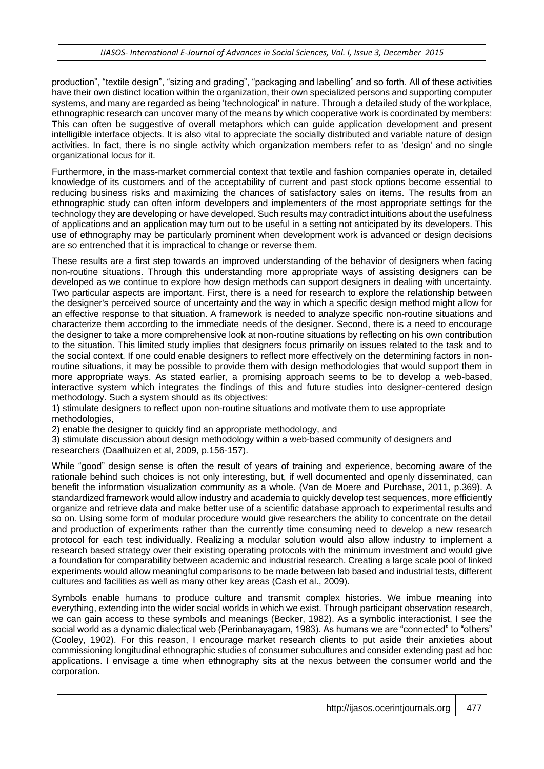production", "textile design", "sizing and grading", "packaging and labelling" and so forth. All of these activities have their own distinct location within the organization, their own specialized persons and supporting computer systems, and many are regarded as being 'technological' in nature. Through a detailed study of the workplace, ethnographic research can uncover many of the means by which cooperative work is coordinated by members: This can often be suggestive of overall metaphors which can guide application development and present intelligible interface objects. It is also vital to appreciate the socially distributed and variable nature of design activities. In fact, there is no single activity which organization members refer to as 'design' and no single organizational locus for it.

Furthermore, in the mass-market commercial context that textile and fashion companies operate in, detailed knowledge of its customers and of the acceptability of current and past stock options become essential to reducing business risks and maximizing the chances of satisfactory sales on items. The results from an ethnographic study can often inform developers and implementers of the most appropriate settings for the technology they are developing or have developed. Such results may contradict intuitions about the usefulness of applications and an application may tum out to be useful in a setting not anticipated by its developers. This use of ethnography may be particularly prominent when development work is advanced or design decisions are so entrenched that it is impractical to change or reverse them.

These results are a first step towards an improved understanding of the behavior of designers when facing non-routine situations. Through this understanding more appropriate ways of assisting designers can be developed as we continue to explore how design methods can support designers in dealing with uncertainty. Two particular aspects are important. First, there is a need for research to explore the relationship between the designer's perceived source of uncertainty and the way in which a specific design method might allow for an effective response to that situation. A framework is needed to analyze specific non-routine situations and characterize them according to the immediate needs of the designer. Second, there is a need to encourage the designer to take a more comprehensive look at non-routine situations by reflecting on his own contribution to the situation. This limited study implies that designers focus primarily on issues related to the task and to the social context. If one could enable designers to reflect more effectively on the determining factors in nonroutine situations, it may be possible to provide them with design methodologies that would support them in more appropriate ways. As stated earlier, a promising approach seems to be to develop a web-based, interactive system which integrates the findings of this and future studies into designer-centered design methodology. Such a system should as its objectives:

1) stimulate designers to reflect upon non-routine situations and motivate them to use appropriate methodologies,

2) enable the designer to quickly find an appropriate methodology, and

3) stimulate discussion about design methodology within a web-based community of designers and researchers (Daalhuizen et al, 2009, p.156-157).

While "good" design sense is often the result of years of training and experience, becoming aware of the rationale behind such choices is not only interesting, but, if well documented and openly disseminated, can benefit the information visualization community as a whole. (Van de Moere and Purchase, 2011, p.369). A standardized framework would allow industry and academia to quickly develop test sequences, more efficiently organize and retrieve data and make better use of a scientific database approach to experimental results and so on. Using some form of modular procedure would give researchers the ability to concentrate on the detail and production of experiments rather than the currently time consuming need to develop a new research protocol for each test individually. Realizing a modular solution would also allow industry to implement a research based strategy over their existing operating protocols with the minimum investment and would give a foundation for comparability between academic and industrial research. Creating a large scale pool of linked experiments would allow meaningful comparisons to be made between lab based and industrial tests, different cultures and facilities as well as many other key areas (Cash et al., 2009).

Symbols enable humans to produce culture and transmit complex histories. We imbue meaning into everything, extending into the wider social worlds in which we exist. Through participant observation research, we can gain access to these symbols and meanings (Becker, 1982). As a symbolic interactionist, I see the social world as a dynamic dialectical web (Perinbanayagam, 1983). As humans we are "connected" to "others" (Cooley, 1902). For this reason, I encourage market research clients to put aside their anxieties about commissioning longitudinal ethnographic studies of consumer subcultures and consider extending past ad hoc applications. I envisage a time when ethnography sits at the nexus between the consumer world and the corporation.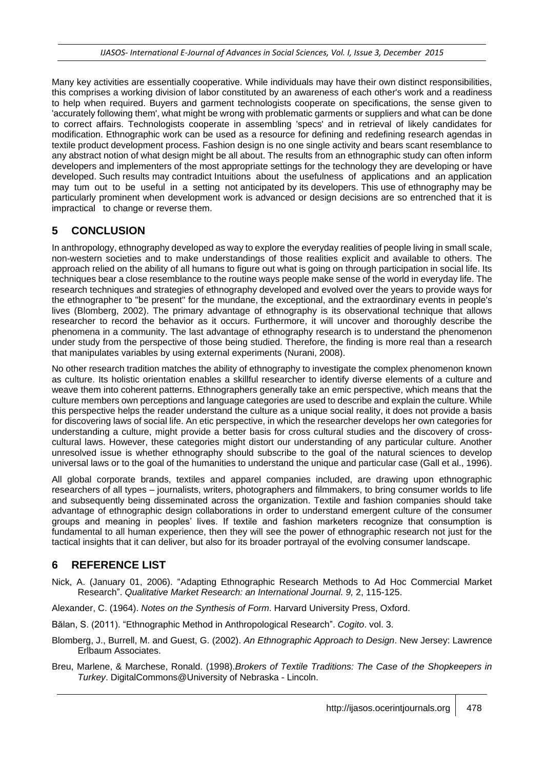Many key activities are essentially cooperative. While individuals may have their own distinct responsibilities, this comprises a working division of labor constituted by an awareness of each other's work and a readiness to help when required. Buyers and garment technologists cooperate on specifications, the sense given to 'accurately following them', what might be wrong with problematic garments or suppliers and what can be done to correct affairs. Technologists cooperate in assembling 'specs' and in retrieval of likely candidates for modification. Ethnographic work can be used as a resource for defining and redefining research agendas in textile product development process. Fashion design is no one single activity and bears scant resemblance to any abstract notion of what design might be all about. The results from an ethnographic study can often inform developers and implementers of the most appropriate settings for the technology they are developing or have developed. Such results may contradict Intuitions about the usefulness of applications and an application may tum out to be useful in a setting not anticipated by its developers. This use of ethnography may be particularly prominent when development work is advanced or design decisions are so entrenched that it is impractical to change or reverse them.

## **5 CONCLUSION**

In anthropology, ethnography developed as way to explore the everyday realities of people living in small scale, non-western societies and to make understandings of those realities explicit and available to others. The approach relied on the ability of all humans to figure out what is going on through participation in social life. Its techniques bear a close resemblance to the routine ways people make sense of the world in everyday life. The research techniques and strategies of ethnography developed and evolved over the years to provide ways for the ethnographer to "be present" for the mundane, the exceptional, and the extraordinary events in people's lives (Blomberg, 2002). The primary advantage of ethnography is its observational technique that allows researcher to record the behavior as it occurs. Furthermore, it will uncover and thoroughly describe the phenomena in a community. The last advantage of ethnography research is to understand the phenomenon under study from the perspective of those being studied. Therefore, the finding is more real than a research that manipulates variables by using external experiments (Nurani, 2008).

No other research tradition matches the ability of ethnography to investigate the complex phenomenon known as culture. Its holistic orientation enables a skillful researcher to identify diverse elements of a culture and weave them into coherent patterns. Ethnographers generally take an emic perspective, which means that the culture members own perceptions and language categories are used to describe and explain the culture. While this perspective helps the reader understand the culture as a unique social reality, it does not provide a basis for discovering laws of social life. An etic perspective, in which the researcher develops her own categories for understanding a culture, might provide a better basis for cross cultural studies and the discovery of crosscultural laws. However, these categories might distort our understanding of any particular culture. Another unresolved issue is whether ethnography should subscribe to the goal of the natural sciences to develop universal laws or to the goal of the humanities to understand the unique and particular case (Gall et al., 1996).

All global corporate brands, textiles and apparel companies included, are drawing upon ethnographic researchers of all types – journalists, writers, photographers and filmmakers, to bring consumer worlds to life and subsequently being disseminated across the organization. Textile and fashion companies should take advantage of ethnographic design collaborations in order to understand emergent culture of the consumer groups and meaning in peoples' lives. If textile and fashion marketers recognize that consumption is fundamental to all human experience, then they will see the power of ethnographic research not just for the tactical insights that it can deliver, but also for its broader portrayal of the evolving consumer landscape.

# **6 REFERENCE LIST**

Nick, A. (January 01, 2006). "Adapting Ethnographic Research Methods to Ad Hoc Commercial Market Research". *Qualitative Market Research: an International Journal. 9,* 2, 115-125.

Alexander, C. (1964). *Notes on the Synthesis of Form*. Harvard University Press, Oxford.

Bălan, S. (2011). "Ethnographic Method in Anthropological Research". *Cogito*. vol. 3.

Blomberg, J., Burrell, M. and Guest, G. (2002). *An Ethnographic Approach to Design*. New Jersey: Lawrence Erlbaum Associates.

Breu, Marlene, & Marchese, Ronald. (1998).*Brokers of Textile Traditions: The Case of the Shopkeepers in Turkey*. DigitalCommons@University of Nebraska - Lincoln.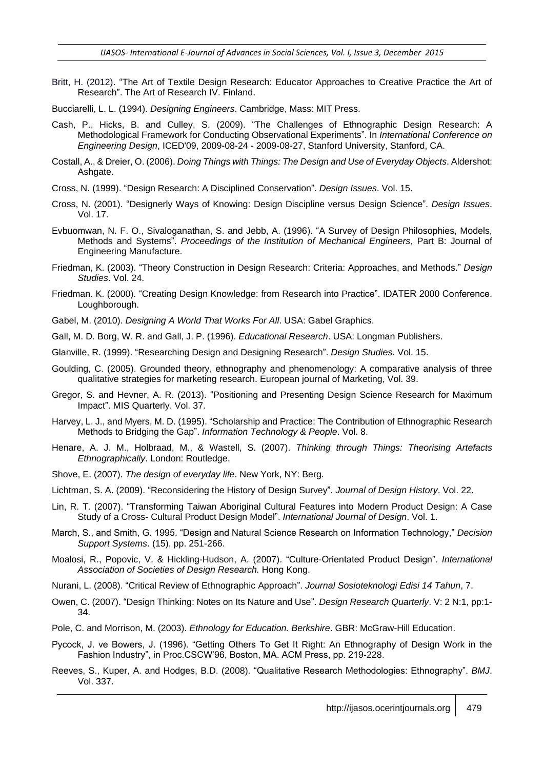- Britt, H. (2012). "The Art of Textile Design Research: Educator Approaches to Creative Practice the Art of Research". The Art of Research IV. Finland.
- Bucciarelli, L. L. (1994). *Designing Engineers*. Cambridge, Mass: MIT Press.
- Cash, P., Hicks, B. and Culley, S. (2009). "The Challenges of Ethnographic Design Research: A Methodological Framework for Conducting Observational Experiments". In *International Conference on Engineering Design*, ICED'09, 2009-08-24 - 2009-08-27, Stanford University, Stanford, CA.
- Costall, A., & Dreier, O. (2006). *Doing Things with Things: The Design and Use of Everyday Objects*. Aldershot: Ashgate.
- Cross, N. (1999). "Design Research: A Disciplined Conservation". *Design Issues*. Vol. 15.
- Cross, N. (2001). "Designerly Ways of Knowing: Design Discipline versus Design Science". *Design Issues*. Vol. 17.
- Evbuomwan, N. F. O., Sivaloganathan, S. and Jebb, A. (1996). "A Survey of Design Philosophies, Models, Methods and Systems". *Proceedings of the Institution of Mechanical Engineers*, Part B: Journal of Engineering Manufacture.
- Friedman, K. (2003). "Theory Construction in Design Research: Criteria: Approaches, and Methods." *Design Studies*. Vol. 24.
- Friedman. K. (2000). "Creating Design Knowledge: from Research into Practice". IDATER 2000 Conference. Loughborough.
- Gabel, M. (2010). *Designing A World That Works For All*. USA: Gabel Graphics.

Gall, M. D. Borg, W. R. and Gall, J. P. (1996). *Educational Research*. USA: Longman Publishers.

- Glanville, R. (1999). "Researching Design and Designing Research". *Design Studies.* Vol. 15.
- Goulding, C. (2005). Grounded theory, ethnography and phenomenology: A comparative analysis of three qualitative strategies for marketing research. European journal of Marketing, Vol. 39.
- Gregor, S. and Hevner, A. R. (2013). "Positioning and Presenting Design Science Research for Maximum Impact". MIS Quarterly. Vol. 37.
- Harvey, L. J., and Myers, M. D. (1995). "Scholarship and Practice: The Contribution of Ethnographic Research Methods to Bridging the Gap". *Information Technology & People*. Vol. 8.
- Henare, A. J. M., Holbraad, M., & Wastell, S. (2007). *Thinking through Things: Theorising Artefacts Ethnographically*. London: Routledge.
- Shove, E. (2007). *The design of everyday life*. New York, NY: Berg.
- Lichtman, S. A. (2009). "Reconsidering the History of Design Survey". *Journal of Design History*. Vol. 22.
- Lin, R. T. (2007). "Transforming Taiwan Aboriginal Cultural Features into Modern Product Design: A Case Study of a Cross- Cultural Product Design Model". *International Journal of Design*. Vol. 1.
- March, S., and Smith, G. 1995. "Design and Natural Science Research on Information Technology," *Decision Support Systems*. (15), pp. 251-266.
- Moalosi, R., Popovic, V. & Hickling-Hudson, A. (2007). "Culture-Orientated Product Design". *International Association of Societies of Design Research.* Hong Kong.
- Nurani, L. (2008). "Critical Review of Ethnographic Approach". *Journal Sosioteknologi Edisi 14 Tahun*, 7.
- Owen, C. (2007). "Design Thinking: Notes on Its Nature and Use". *Design Research Quarterly*. V: 2 N:1, pp:1- 34.
- Pole, C. and Morrison, M. (2003). *Ethnology for Education. Berkshire*. GBR: McGraw-Hill Education.
- Pycock, J. ve Bowers, J. (1996). "Getting Others To Get It Right: An Ethnography of Design Work in the Fashion Industry", in Proc.CSCW'96, Boston, MA. ACM Press, pp. 219-228.
- Reeves, S., Kuper, A. and Hodges, B.D. (2008). "Qualitative Research Methodologies: Ethnography". *BMJ*. Vol. 337.